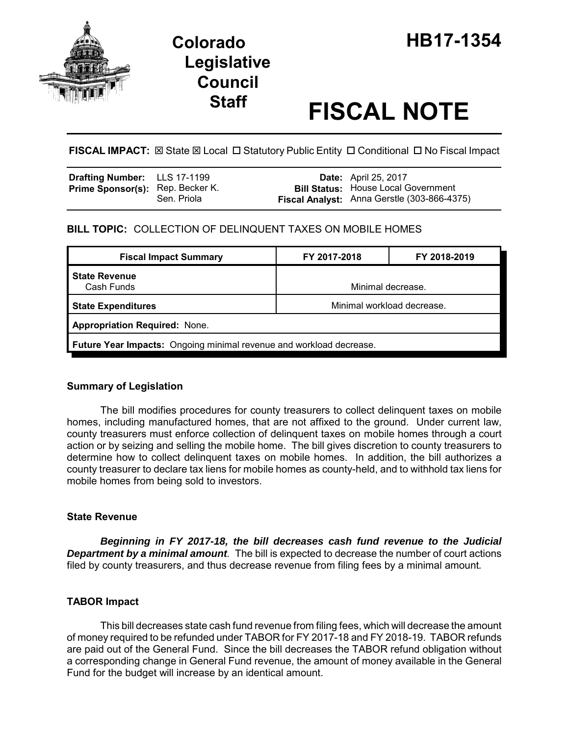

# **Legislative Council**

# **Staff FISCAL NOTE**

**FISCAL IMPACT:**  $\boxtimes$  **State**  $\boxtimes$  **Local □ Statutory Public Entity □ Conditional □ No Fiscal Impact** 

| <b>Drafting Number:</b> LLS 17-1199     |             | <b>Date:</b> April 25, 2017                                                               |
|-----------------------------------------|-------------|-------------------------------------------------------------------------------------------|
| <b>Prime Sponsor(s):</b> Rep. Becker K. | Sen. Priola | <b>Bill Status: House Local Government</b><br>Fiscal Analyst: Anna Gerstle (303-866-4375) |

# **BILL TOPIC:** COLLECTION OF DELINQUENT TAXES ON MOBILE HOMES

| <b>Fiscal Impact Summary</b>                                        | FY 2017-2018               | FY 2018-2019 |  |  |  |
|---------------------------------------------------------------------|----------------------------|--------------|--|--|--|
| <b>State Revenue</b><br>Cash Funds                                  | Minimal decrease.          |              |  |  |  |
| <b>State Expenditures</b>                                           | Minimal workload decrease. |              |  |  |  |
| <b>Appropriation Required: None.</b>                                |                            |              |  |  |  |
| Future Year Impacts: Ongoing minimal revenue and workload decrease. |                            |              |  |  |  |

# **Summary of Legislation**

The bill modifies procedures for county treasurers to collect delinquent taxes on mobile homes, including manufactured homes, that are not affixed to the ground. Under current law, county treasurers must enforce collection of delinquent taxes on mobile homes through a court action or by seizing and selling the mobile home. The bill gives discretion to county treasurers to determine how to collect delinquent taxes on mobile homes. In addition, the bill authorizes a county treasurer to declare tax liens for mobile homes as county-held, and to withhold tax liens for mobile homes from being sold to investors.

# **State Revenue**

*Beginning in FY 2017-18, the bill decreases cash fund revenue to the Judicial* **Department by a minimal amount**. The bill is expected to decrease the number of court actions filed by county treasurers, and thus decrease revenue from filing fees by a minimal amount*.* 

#### **TABOR Impact**

This bill decreases state cash fund revenue from filing fees, which will decrease the amount of money required to be refunded under TABOR for FY 2017-18 and FY 2018-19. TABOR refunds are paid out of the General Fund. Since the bill decreases the TABOR refund obligation without a corresponding change in General Fund revenue, the amount of money available in the General Fund for the budget will increase by an identical amount.